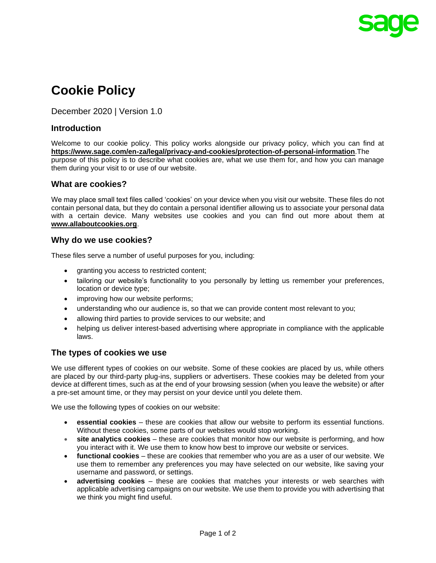

# **Cookie Policy**

December 2020 | Version 1.0

## **Introduction**

Welcome to our cookie policy. This policy works alongside our privacy policy, which you can find at **<https://www.sage.com/en-za/legal/privacy-and-cookies/protection-of-personal-information>**.The purpose of this policy is to describe what cookies are, what we use them for, and how you can manage them during your visit to or use of our website.

#### **What are cookies?**

We may place small text files called 'cookies' on your device when you visit our website. These files do not contain personal data, but they do contain a personal identifier allowing us to associate your personal data with a certain device. Many websites use cookies and you can find out more about them at **[www.allaboutcookies.org](http://www.allaboutcookies.org/)**.

#### **Why do we use cookies?**

These files serve a number of useful purposes for you, including:

- granting you access to restricted content;
- tailoring our website's functionality to you personally by letting us remember your preferences, location or device type;
- improving how our website performs;
- understanding who our audience is, so that we can provide content most relevant to you;
- allowing third parties to provide services to our website; and
- helping us deliver interest-based advertising where appropriate in compliance with the applicable laws.

#### **The types of cookies we use**

We use different types of cookies on our website. Some of these cookies are placed by us, while others are placed by our third-party plug-ins, suppliers or advertisers. These cookies may be deleted from your device at different times, such as at the end of your browsing session (when you leave the website) or after a pre-set amount time, or they may persist on your device until you delete them.

We use the following types of cookies on our website:

- **essential cookies** these are cookies that allow our website to perform its essential functions. Without these cookies, some parts of our websites would stop working.
- **site analytics cookies** these are cookies that monitor how our website is performing, and how you interact with it. We use them to know how best to improve our website or services.
- **functional cookies**  these are cookies that remember who you are as a user of our website. We use them to remember any preferences you may have selected on our website, like saving your username and password, or settings.
- **advertising cookies**  these are cookies that matches your interests or web searches with applicable advertising campaigns on our website. We use them to provide you with advertising that we think you might find useful.